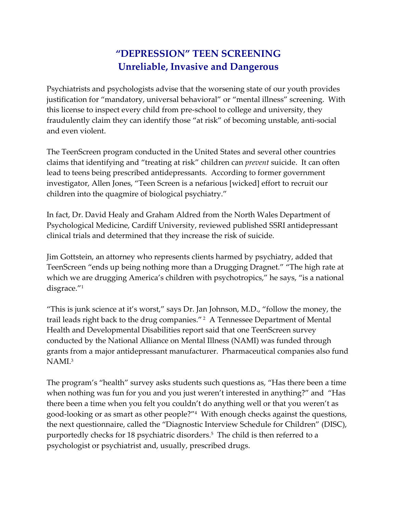## **"DEPRESSION" TEEN SCREENING Unreliable, Invasive and Dangerous**

Psychiatrists and psychologists advise that the worsening state of our youth provides justification for "mandatory, universal behavioral" or "mental illness" screening. With this license to inspect every child from pre‐school to college and university, they fraudulently claim they can identify those "at risk" of becoming unstable, anti‐social and even violent.

The TeenScreen program conducted in the United States and several other countries claims that identifying and "treating at risk" children can *prevent* suicide. It can often lead to teens being prescribed antidepressants. According to former government investigator, Allen Jones, "Teen Screen is a nefarious [wicked] effort to recruit our children into the quagmire of biological psychiatry."

In fact, Dr. David Healy and Graham Aldred from the North Wales Department of Psychological Medicine, Cardiff University, reviewed published SSRI antidepressant clinical trials and determined that they increase the risk of suicide.

Jim Gottstein, an attorney who represents clients harmed by psychiatry, added that TeenScreen "ends up being nothing more than a Drugging Dragnet." "The high rate at which we are drugging America's children with psychotropics," he says, "is a national disgrace."1

"This is junk science at it's worst," says Dr. Jan Johnson, M.D., "follow the money, the trail leads right back to the drug companies." <sup>2</sup> A Tennessee Department of Mental Health and Developmental Disabilities report said that one TeenScreen survey conducted by the National Alliance on Mental Illness (NAMI) was funded through grants from a major antidepressant manufacturer. Pharmaceutical companies also fund NAMI.3

The program's "health" survey asks students such questions as, "Has there been a time when nothing was fun for you and you just weren't interested in anything?" and "Has there been a time when you felt you couldn't do anything well or that you weren't as good‐looking or as smart as other people?"4 With enough checks against the questions, the next questionnaire, called the "Diagnostic Interview Schedule for Children" (DISC), purportedly checks for 18 psychiatric disorders.5 The child is then referred to a psychologist or psychiatrist and, usually, prescribed drugs.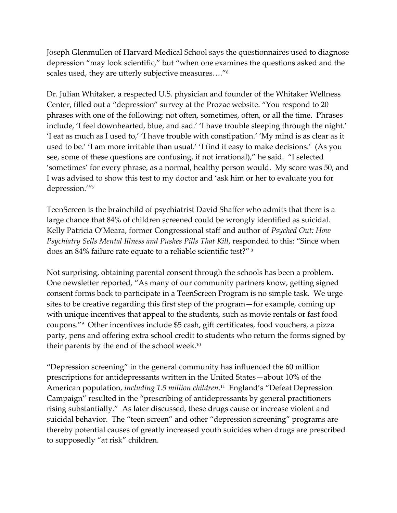Joseph Glenmullen of Harvard Medical School says the questionnaires used to diagnose depression "may look scientific," but "when one examines the questions asked and the scales used, they are utterly subjective measures…."6

Dr. Julian Whitaker, a respected U.S. physician and founder of the Whitaker Wellness Center, filled out a "depression" survey at the Prozac website. "You respond to 20 phrases with one of the following: not often, sometimes, often, or all the time. Phrases include, 'I feel downhearted, blue, and sad.' 'I have trouble sleeping through the night.' 'I eat as much as I used to,' 'I have trouble with constipation.' 'My mind is as clear as it used to be.' 'I am more irritable than usual.' 'I find it easy to make decisions.' (As you see, some of these questions are confusing, if not irrational)," he said. "I selected 'sometimes' for every phrase, as a normal, healthy person would. My score was 50, and I was advised to show this test to my doctor and 'ask him or her to evaluate you for depression.'"7

TeenScreen is the brainchild of psychiatrist David Shaffer who admits that there is a large chance that 84% of children screened could be wrongly identified as suicidal. Kelly Patricia O'Meara, former Congressional staff and author of *Psyched Out: How Psychiatry Sells Mental Illness and Pushes Pills That Kill*, responded to this: "Since when does an 84% failure rate equate to a reliable scientific test?" <sup>8</sup>

Not surprising, obtaining parental consent through the schools has been a problem. One newsletter reported, "As many of our community partners know, getting signed consent forms back to participate in a TeenScreen Program is no simple task. We urge sites to be creative regarding this first step of the program—for example, coming up with unique incentives that appeal to the students, such as movie rentals or fast food coupons."9 Other incentives include \$5 cash, gift certificates, food vouchers, a pizza party, pens and offering extra school credit to students who return the forms signed by their parents by the end of the school week.<sup>10</sup>

"Depression screening" in the general community has influenced the 60 million prescriptions for antidepressants written in the United States—about 10% of the American population, *including 1.5 million children*. <sup>11</sup> England's "Defeat Depression Campaign" resulted in the "prescribing of antidepressants by general practitioners rising substantially." As later discussed, these drugs cause or increase violent and suicidal behavior. The "teen screen" and other "depression screening" programs are thereby potential causes of greatly increased youth suicides when drugs are prescribed to supposedly "at risk" children.